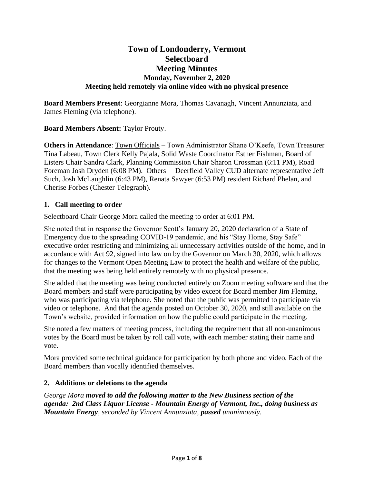# **Town of Londonderry, Vermont Selectboard Meeting Minutes Monday, November 2, 2020 Meeting held remotely via online video with no physical presence**

**Board Members Present**: Georgianne Mora, Thomas Cavanagh, Vincent Annunziata, and James Fleming (via telephone).

## **Board Members Absent:** Taylor Prouty.

**Others in Attendance**: Town Officials – Town Administrator Shane O'Keefe, Town Treasurer Tina Labeau, Town Clerk Kelly Pajala, Solid Waste Coordinator Esther Fishman, Board of Listers Chair Sandra Clark, Planning Commission Chair Sharon Crossman (6:11 PM), Road Foreman Josh Dryden (6:08 PM). Others – Deerfield Valley CUD alternate representative Jeff Such, Josh McLaughlin (6:43 PM), Renata Sawyer (6:53 PM) resident Richard Phelan, and Cherise Forbes (Chester Telegraph).

## **1. Call meeting to order**

Selectboard Chair George Mora called the meeting to order at 6:01 PM.

She noted that in response the Governor Scott's January 20, 2020 declaration of a State of Emergency due to the spreading COVID-19 pandemic, and his "Stay Home, Stay Safe" executive order restricting and minimizing all unnecessary activities outside of the home, and in accordance with Act 92, signed into law on by the Governor on March 30, 2020, which allows for changes to the Vermont Open Meeting Law to protect the health and welfare of the public, that the meeting was being held entirely remotely with no physical presence.

She added that the meeting was being conducted entirely on Zoom meeting software and that the Board members and staff were participating by video except for Board member Jim Fleming, who was participating via telephone. She noted that the public was permitted to participate via video or telephone. And that the agenda posted on October 30, 2020, and still available on the Town's website, provided information on how the public could participate in the meeting.

She noted a few matters of meeting process, including the requirement that all non-unanimous votes by the Board must be taken by roll call vote, with each member stating their name and vote.

Mora provided some technical guidance for participation by both phone and video. Each of the Board members than vocally identified themselves.

## **2. Additions or deletions to the agenda**

*George Mora moved to add the following matter to the New Business section of the agenda: 2nd Class Liquor License - Mountain Energy of Vermont, Inc., doing business as Mountain Energy, seconded by Vincent Annunziata, passed unanimously.*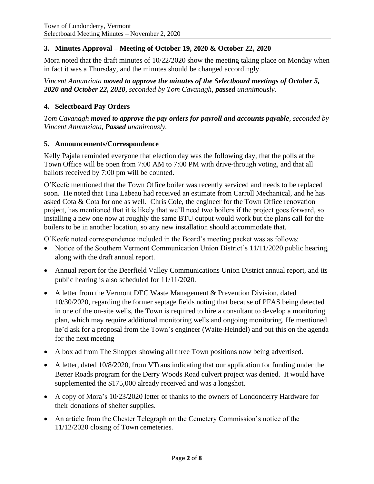## **3. Minutes Approval – Meeting of October 19, 2020 & October 22, 2020**

Mora noted that the draft minutes of 10/22/2020 show the meeting taking place on Monday when in fact it was a Thursday, and the minutes should be changed accordingly.

*Vincent Annunziata moved to approve the minutes of the Selectboard meetings of October 5, 2020 and October 22, 2020, seconded by Tom Cavanagh, passed unanimously.*

## **4. Selectboard Pay Orders**

*Tom Cavanagh moved to approve the pay orders for payroll and accounts payable, seconded by Vincent Annunziata, Passed unanimously.*

## **5. Announcements/Correspondence**

Kelly Pajala reminded everyone that election day was the following day, that the polls at the Town Office will be open from 7:00 AM to 7:00 PM with drive-through voting, and that all ballots received by 7:00 pm will be counted.

O'Keefe mentioned that the Town Office boiler was recently serviced and needs to be replaced soon. He noted that Tina Labeau had received an estimate from Carroll Mechanical, and he has asked Cota & Cota for one as well. Chris Cole, the engineer for the Town Office renovation project, has mentioned that it is likely that we'll need two boilers if the project goes forward, so installing a new one now at roughly the same BTU output would work but the plans call for the boilers to be in another location, so any new installation should accommodate that.

O'Keefe noted correspondence included in the Board's meeting packet was as follows:

- Notice of the Southern Vermont Communication Union District's 11/11/2020 public hearing, along with the draft annual report.
- Annual report for the Deerfield Valley Communications Union District annual report, and its public hearing is also scheduled for 11/11/2020.
- A letter from the Vermont DEC Waste Management & Prevention Division, dated 10/30/2020, regarding the former septage fields noting that because of PFAS being detected in one of the on-site wells, the Town is required to hire a consultant to develop a monitoring plan, which may require additional monitoring wells and ongoing monitoring. He mentioned he'd ask for a proposal from the Town's engineer (Waite-Heindel) and put this on the agenda for the next meeting
- A box ad from The Shopper showing all three Town positions now being advertised.
- A letter, dated 10/8/2020, from VTrans indicating that our application for funding under the Better Roads program for the Derry Woods Road culvert project was denied. It would have supplemented the \$175,000 already received and was a longshot.
- A copy of Mora's 10/23/2020 letter of thanks to the owners of Londonderry Hardware for their donations of shelter supplies.
- An article from the Chester Telegraph on the Cemetery Commission's notice of the 11/12/2020 closing of Town cemeteries.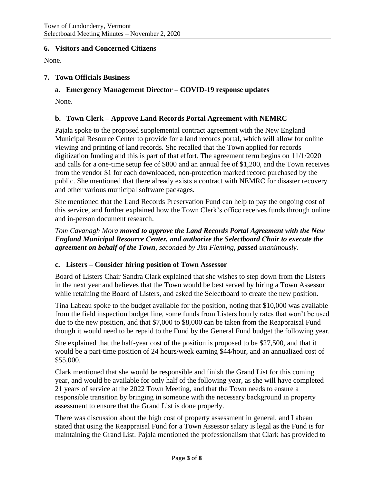### **6. Visitors and Concerned Citizens**

None.

### **7. Town Officials Business**

**a. Emergency Management Director – COVID-19 response updates**

None.

### **b. Town Clerk – Approve Land Records Portal Agreement with NEMRC**

Pajala spoke to the proposed supplemental contract agreement with the New England Municipal Resource Center to provide for a land records portal, which will allow for online viewing and printing of land records. She recalled that the Town applied for records digitization funding and this is part of that effort. The agreement term begins on 11/1/2020 and calls for a one-time setup fee of \$800 and an annual fee of \$1,200, and the Town receives from the vendor \$1 for each downloaded, non-protection marked record purchased by the public. She mentioned that there already exists a contract with NEMRC for disaster recovery and other various municipal software packages.

She mentioned that the Land Records Preservation Fund can help to pay the ongoing cost of this service, and further explained how the Town Clerk's office receives funds through online and in-person document research.

*Tom Cavanagh Mora moved to approve the Land Records Portal Agreement with the New England Municipal Resource Center, and authorize the Selectboard Chair to execute the agreement on behalf of the Town, seconded by Jim Fleming, passed unanimously.*

#### **c. Listers – Consider hiring position of Town Assessor**

Board of Listers Chair Sandra Clark explained that she wishes to step down from the Listers in the next year and believes that the Town would be best served by hiring a Town Assessor while retaining the Board of Listers, and asked the Selectboard to create the new position.

Tina Labeau spoke to the budget available for the position, noting that \$10,000 was available from the field inspection budget line, some funds from Listers hourly rates that won't be used due to the new position, and that \$7,000 to \$8,000 can be taken from the Reappraisal Fund though it would need to be repaid to the Fund by the General Fund budget the following year.

She explained that the half-year cost of the position is proposed to be \$27,500, and that it would be a part-time position of 24 hours/week earning \$44/hour, and an annualized cost of \$55,000.

Clark mentioned that she would be responsible and finish the Grand List for this coming year, and would be available for only half of the following year, as she will have completed 21 years of service at the 2022 Town Meeting, and that the Town needs to ensure a responsible transition by bringing in someone with the necessary background in property assessment to ensure that the Grand List is done properly.

There was discussion about the high cost of property assessment in general, and Labeau stated that using the Reappraisal Fund for a Town Assessor salary is legal as the Fund is for maintaining the Grand List. Pajala mentioned the professionalism that Clark has provided to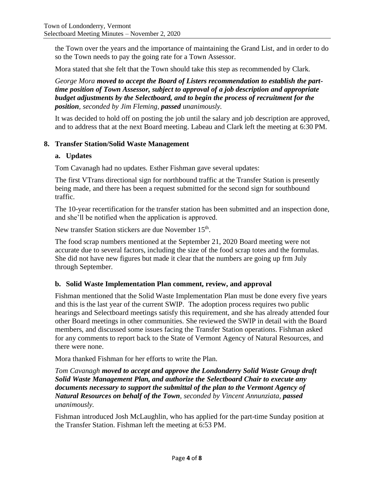the Town over the years and the importance of maintaining the Grand List, and in order to do so the Town needs to pay the going rate for a Town Assessor.

Mora stated that she felt that the Town should take this step as recommended by Clark.

*George Mora moved to accept the Board of Listers recommendation to establish the parttime position of Town Assessor, subject to approval of a job description and appropriate budget adjustments by the Selectboard, and to begin the process of recruitment for the position, seconded by Jim Fleming, passed unanimously.*

It was decided to hold off on posting the job until the salary and job description are approved, and to address that at the next Board meeting. Labeau and Clark left the meeting at 6:30 PM.

### **8. Transfer Station/Solid Waste Management**

### **a. Updates**

Tom Cavanagh had no updates. Esther Fishman gave several updates:

The first VTrans directional sign for northbound traffic at the Transfer Station is presently being made, and there has been a request submitted for the second sign for southbound traffic.

The 10-year recertification for the transfer station has been submitted and an inspection done, and she'll be notified when the application is approved.

New transfer Station stickers are due November 15<sup>th</sup>.

The food scrap numbers mentioned at the September 21, 2020 Board meeting were not accurate due to several factors, including the size of the food scrap totes and the formulas. She did not have new figures but made it clear that the numbers are going up frm July through September.

## **b. Solid Waste Implementation Plan comment, review, and approval**

Fishman mentioned that the Solid Waste Implementation Plan must be done every five years and this is the last year of the current SWIP. The adoption process requires two public hearings and Selectboard meetings satisfy this requirement, and she has already attended four other Board meetings in other communities. She reviewed the SWIP in detail with the Board members, and discussed some issues facing the Transfer Station operations. Fishman asked for any comments to report back to the State of Vermont Agency of Natural Resources, and there were none.

Mora thanked Fishman for her efforts to write the Plan.

*Tom Cavanagh moved to accept and approve the Londonderry Solid Waste Group draft Solid Waste Management Plan, and authorize the Selectboard Chair to execute any documents necessary to support the submittal of the plan to the Vermont Agency of Natural Resources on behalf of the Town, seconded by Vincent Annunziata, passed unanimously.*

Fishman introduced Josh McLaughlin, who has applied for the part-time Sunday position at the Transfer Station. Fishman left the meeting at 6:53 PM.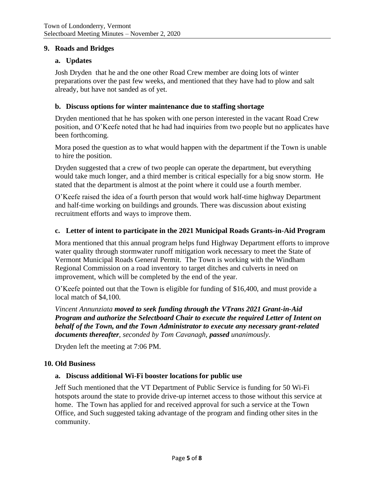### **9. Roads and Bridges**

### **a. Updates**

Josh Dryden that he and the one other Road Crew member are doing lots of winter preparations over the past few weeks, and mentioned that they have had to plow and salt already, but have not sanded as of yet.

### **b. Discuss options for winter maintenance due to staffing shortage**

Dryden mentioned that he has spoken with one person interested in the vacant Road Crew position, and O'Keefe noted that he had had inquiries from two people but no applicates have been forthcoming.

Mora posed the question as to what would happen with the department if the Town is unable to hire the position.

Dryden suggested that a crew of two people can operate the department, but everything would take much longer, and a third member is critical especially for a big snow storm. He stated that the department is almost at the point where it could use a fourth member.

O'Keefe raised the idea of a fourth person that would work half-time highway Department and half-time working on buildings and grounds. There was discussion about existing recruitment efforts and ways to improve them.

#### **c. Letter of intent to participate in the 2021 Municipal Roads Grants-in-Aid Program**

Mora mentioned that this annual program helps fund Highway Department efforts to improve water quality through stormwater runoff mitigation work necessary to meet the State of Vermont Municipal Roads General Permit. The Town is working with the Windham Regional Commission on a road inventory to target ditches and culverts in need on improvement, which will be completed by the end of the year.

O'Keefe pointed out that the Town is eligible for funding of \$16,400, and must provide a local match of \$4,100.

*Vincent Annunziata moved to seek funding through the VTrans 2021 Grant-in-Aid Program and authorize the Selectboard Chair to execute the required Letter of Intent on behalf of the Town, and the Town Administrator to execute any necessary grant-related documents thereafter, seconded by Tom Cavanagh, passed unanimously.*

Dryden left the meeting at 7:06 PM.

#### **10. Old Business**

#### **a. Discuss additional Wi-Fi booster locations for public use**

Jeff Such mentioned that the VT Department of Public Service is funding for 50 Wi-Fi hotspots around the state to provide drive-up internet access to those without this service at home. The Town has applied for and received approval for such a service at the Town Office, and Such suggested taking advantage of the program and finding other sites in the community.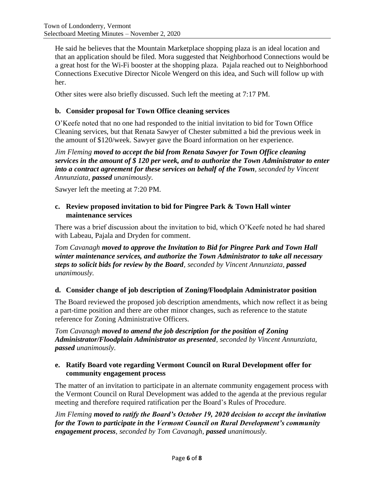He said he believes that the Mountain Marketplace shopping plaza is an ideal location and that an application should be filed. Mora suggested that Neighborhood Connections would be a great host for the Wi-Fi booster at the shopping plaza. Pajala reached out to Neighborhood Connections Executive Director Nicole Wengerd on this idea, and Such will follow up with her.

Other sites were also briefly discussed. Such left the meeting at 7:17 PM.

### **b. Consider proposal for Town Office cleaning services**

O'Keefe noted that no one had responded to the initial invitation to bid for Town Office Cleaning services, but that Renata Sawyer of Chester submitted a bid the previous week in the amount of \$120/week. Sawyer gave the Board information on her experience.

*Jim Fleming moved to accept the bid from Renata Sawyer for Town Office cleaning services in the amount of \$ 120 per week, and to authorize the Town Administrator to enter into a contract agreement for these services on behalf of the Town, seconded by Vincent Annunziata, passed unanimously.*

Sawyer left the meeting at 7:20 PM.

### **c. Review proposed invitation to bid for Pingree Park & Town Hall winter maintenance services**

There was a brief discussion about the invitation to bid, which O'Keefe noted he had shared with Labeau, Pajala and Dryden for comment.

*Tom Cavanagh moved to approve the Invitation to Bid for Pingree Park and Town Hall winter maintenance services, and authorize the Town Administrator to take all necessary steps to solicit bids for review by the Board, seconded by Vincent Annunziata, passed unanimously.*

## **d. Consider change of job description of Zoning/Floodplain Administrator position**

The Board reviewed the proposed job description amendments, which now reflect it as being a part-time position and there are other minor changes, such as reference to the statute reference for Zoning Administrative Officers.

*Tom Cavanagh moved to amend the job description for the position of Zoning Administrator/Floodplain Administrator as presented, seconded by Vincent Annunziata, passed unanimously.*

## **e. Ratify Board vote regarding Vermont Council on Rural Development offer for community engagement process**

The matter of an invitation to participate in an alternate community engagement process with the Vermont Council on Rural Development was added to the agenda at the previous regular meeting and therefore required ratification per the Board's Rules of Procedure.

*Jim Fleming moved to ratify the Board's October 19, 2020 decision to accept the invitation for the Town to participate in the Vermont Council on Rural Development's community engagement process, seconded by Tom Cavanagh, passed unanimously.*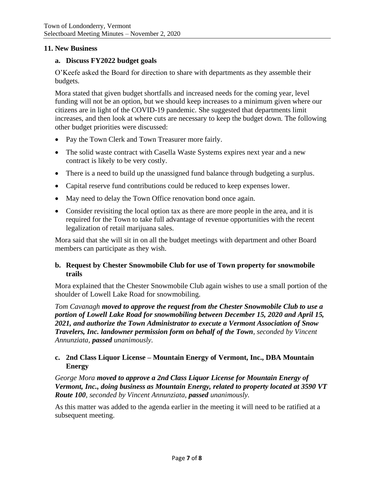### **11. New Business**

#### **a. Discuss FY2022 budget goals**

O'Keefe asked the Board for direction to share with departments as they assemble their budgets.

Mora stated that given budget shortfalls and increased needs for the coming year, level funding will not be an option, but we should keep increases to a minimum given where our citizens are in light of the COVID-19 pandemic. She suggested that departments limit increases, and then look at where cuts are necessary to keep the budget down. The following other budget priorities were discussed:

- Pay the Town Clerk and Town Treasurer more fairly.
- The solid waste contract with Casella Waste Systems expires next year and a new contract is likely to be very costly.
- There is a need to build up the unassigned fund balance through budgeting a surplus.
- Capital reserve fund contributions could be reduced to keep expenses lower.
- May need to delay the Town Office renovation bond once again.
- Consider revisiting the local option tax as there are more people in the area, and it is required for the Town to take full advantage of revenue opportunities with the recent legalization of retail marijuana sales.

Mora said that she will sit in on all the budget meetings with department and other Board members can participate as they wish.

### **b. Request by Chester Snowmobile Club for use of Town property for snowmobile trails**

Mora explained that the Chester Snowmobile Club again wishes to use a small portion of the shoulder of Lowell Lake Road for snowmobiling.

*Tom Cavanagh moved to approve the request from the Chester Snowmobile Club to use a portion of Lowell Lake Road for snowmobiling between December 15, 2020 and April 15, 2021, and authorize the Town Administrator to execute a Vermont Association of Snow Travelers, Inc. landowner permission form on behalf of the Town, seconded by Vincent Annunziata, passed unanimously.*

## **c. 2nd Class Liquor License – Mountain Energy of Vermont, Inc., DBA Mountain Energy**

*George Mora moved to approve a 2nd Class Liquor License for Mountain Energy of Vermont, Inc., doing business as Mountain Energy, related to property located at 3590 VT Route 100, seconded by Vincent Annunziata, passed unanimously.*

As this matter was added to the agenda earlier in the meeting it will need to be ratified at a subsequent meeting.